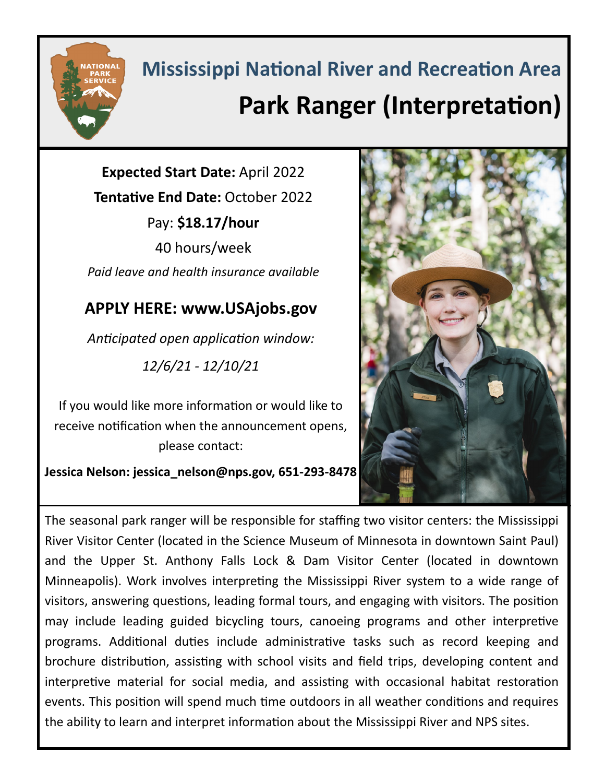

## **Mississippi National River and Recreation Area Park Ranger (Interpretation)**

**Expected Start Date:** April 2022 **Tentative End Date:** October 2022 Pay: **\$18.17/hour** 40 hours/week *Paid leave and health insurance available*

## **APPLY HERE: www.USAjobs.gov**

*Anticipated open application window: 12/6/21 - 12/10/21*

If you would like more information or would like to receive notification when the announcement opens, please contact:

**Jessica Nelson: jessica\_nelson@nps.gov, 651-293-8478** 



The seasonal park ranger will be responsible for staffing two visitor centers: the Mississippi River Visitor Center (located in the Science Museum of Minnesota in downtown Saint Paul) and the Upper St. Anthony Falls Lock & Dam Visitor Center (located in downtown Minneapolis). Work involves interpreting the Mississippi River system to a wide range of visitors, answering questions, leading formal tours, and engaging with visitors. The position may include leading guided bicycling tours, canoeing programs and other interpretive programs. Additional duties include administrative tasks such as record keeping and brochure distribution, assisting with school visits and field trips, developing content and interpretive material for social media, and assisting with occasional habitat restoration events. This position will spend much time outdoors in all weather conditions and requires the ability to learn and interpret information about the Mississippi River and NPS sites.